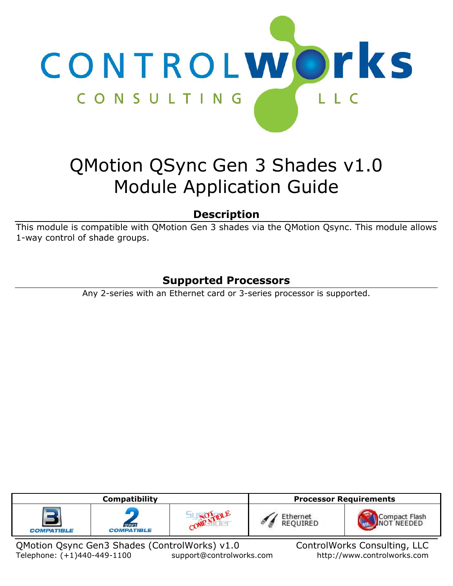

# QMotion QSync Gen 3 Shades v1.0 Module Application Guide

# **Description**

This module is compatible with QMotion Gen 3 shades via the QMotion Qsync. This module allows 1-way control of shade groups.

# **Supported Processors**

Any 2-series with an Ethernet card or 3-series processor is supported.

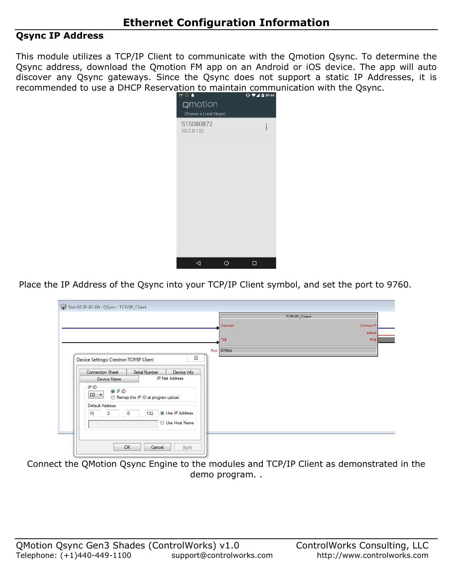### **Qsync IP Address**

This module utilizes a TCP/IP Client to communicate with the Qmotion Qsync. To determine the Qsync address, download the Qmotion FM app on an Android or iOS device. The app will auto discover any Qsync gateways. Since the Qsync does not support a static IP Addresses, it is recommended to use a DHCP Reservation to maintain communication with the Qsync.



Place the IP Address of the Qsync into your TCP/IP Client symbol, and set the port to 9760.

| Slot-05.IP-ID-D0 : QSync : TCP/IP_Client                                                                                                                                                                                                                        |            |               |           |
|-----------------------------------------------------------------------------------------------------------------------------------------------------------------------------------------------------------------------------------------------------------------|------------|---------------|-----------|
|                                                                                                                                                                                                                                                                 |            | TCP/IP_Client |           |
|                                                                                                                                                                                                                                                                 | Connect    |               | Connect-F |
|                                                                                                                                                                                                                                                                 |            |               | status    |
|                                                                                                                                                                                                                                                                 | <b>TXS</b> |               | RX\$      |
|                                                                                                                                                                                                                                                                 | Port 9760d |               |           |
| ⊠<br>Device Settings: Crestron TCP/IP Client                                                                                                                                                                                                                    |            |               |           |
| Connection Sheet<br>Serial Number<br>Device Info<br><b>IP Net Address</b><br>Device Name<br>IP ID<br>O IP ID<br>$DO -$<br>Remap this IP ID at program upload<br>Default Address<br><b>O</b> Use IP Address<br>$\overline{2}$<br>132<br>10<br>0<br>Use Host Name |            |               |           |
| OK<br>Cancel<br>Apply                                                                                                                                                                                                                                           |            |               |           |

Connect the QMotion Qsync Engine to the modules and TCP/IP Client as demonstrated in the demo program. .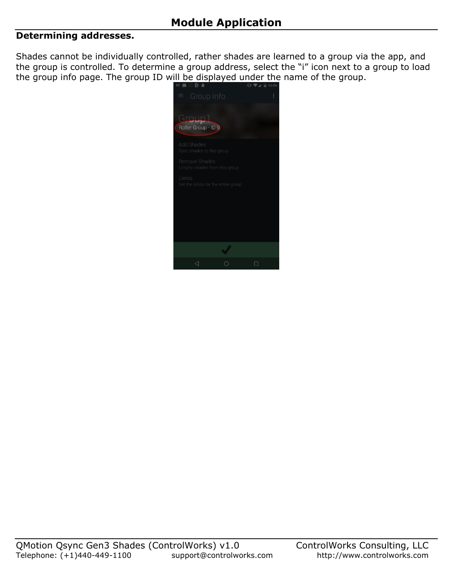#### **Determining addresses.**

Shades cannot be individually controlled, rather shades are learned to a group via the app, and the group is controlled. To determine a group address, select the "i" icon next to a group to load the group info page. The group ID will be displayed under the name of the group.

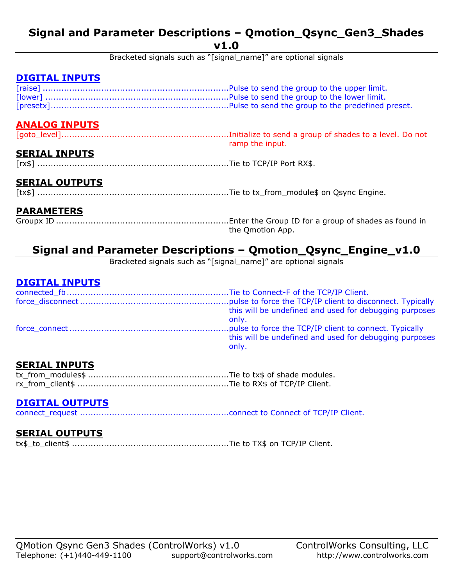## **Signal and Parameter Descriptions – Qmotion\_Qsync\_Gen3\_Shades v1.0**

Bracketed signals such as "[signal\_name]" are optional signals

## **DIGITAL INPUTS**

## **ANALOG INPUTS**

[goto\_level]...............................................................Initialize to send a group of shades to a level. Do not ramp the input.

## **SERIAL INPUTS**

[rx\$] ........................................................................Tie to TCP/IP Port RX\$.

## **SERIAL OUTPUTS**

[tx\$] ........................................................................Tie to tx\_from\_module\$ on Qsync Engine.

#### **PARAMETERS**

Groupx ID .................................................................Enter the Group ID for a group of shades as found in the Qmotion App.

# **Signal and Parameter Descriptions – Qmotion\_Qsync\_Engine\_v1.0**

Bracketed signals such as "[signal\_name]" are optional signals

#### **DIGITAL INPUTS**

| this will be undefined and used for debugging purposes<br>only. |
|-----------------------------------------------------------------|
| this will be undefined and used for debugging purposes<br>only. |

### **SERIAL INPUTS**

### **DIGITAL OUTPUTS**

connect\_request ........................................................connect to Connect of TCP/IP Client.

#### **SERIAL OUTPUTS**

tx\$\_to\_client\$ ...........................................................Tie to TX\$ on TCP/IP Client.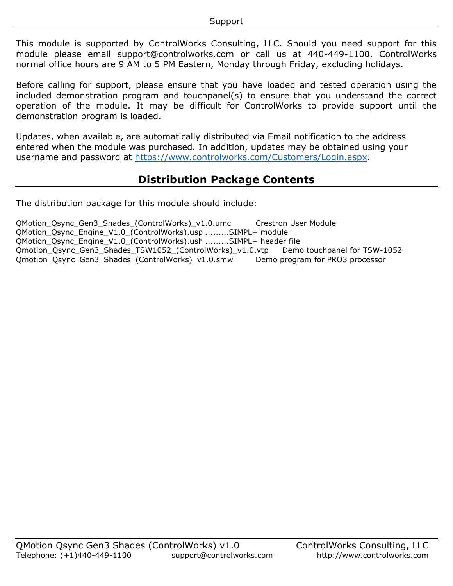This module is supported by ControlWorks Consulting, LLC. Should you need support for this module please email support@controlworks.com or call us at 440-449-1100. ControlWorks normal office hours are 9 AM to 5 PM Eastern, Monday through Friday, excluding holidays.

Before calling for support, please ensure that you have loaded and tested operation using the included demonstration program and touchpanel(s) to ensure that you understand the correct operation of the module. It may be difficult for ControlWorks to provide support until the demonstration program is loaded.

Updates, when available, are automatically distributed via Email notification to the address entered when the module was purchased. In addition, updates may be obtained using your username and password at [https://www.controlworks.com/Customers/Login.aspx.](https://www.controlworks.com/Customers/Login.aspx)

# **Distribution Package Contents**

The distribution package for this module should include:

QMotion\_Qsync\_Gen3\_Shades\_(ControlWorks)\_v1.0.umc Crestron User Module QMotion\_Qsync\_Engine\_V1.0\_(ControlWorks).usp .........SIMPL+ module QMotion\_Qsync\_Engine\_V1.0\_(ControlWorks).ush .........SIMPL+ header file Qmotion\_Qsync\_Gen3\_Shades\_TSW1052\_(ControlWorks)\_v1.0.vtp Demo touchpanel for TSW-1052 Qmotion\_Qsync\_Gen3\_Shades\_(ControlWorks)\_v1.0.smw Demo program for PRO3 processor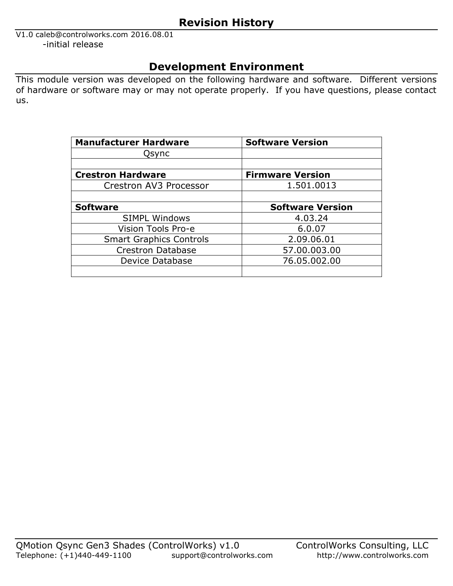## **Revision History**

V1.0 caleb@controlworks.com 2016.08.01 -initial release

# **Development Environment**

This module version was developed on the following hardware and software. Different versions of hardware or software may or may not operate properly. If you have questions, please contact us.

| <b>Manufacturer Hardware</b>   | <b>Software Version</b> |
|--------------------------------|-------------------------|
| Qsync                          |                         |
|                                |                         |
| <b>Crestron Hardware</b>       | <b>Firmware Version</b> |
| Crestron AV3 Processor         | 1.501.0013              |
|                                |                         |
| <b>Software</b>                | <b>Software Version</b> |
| <b>SIMPL Windows</b>           | 4.03.24                 |
| Vision Tools Pro-e             | 6.0.07                  |
| <b>Smart Graphics Controls</b> | 2.09.06.01              |
| <b>Crestron Database</b>       | 57.00.003.00            |
| Device Database                | 76.05.002.00            |
|                                |                         |